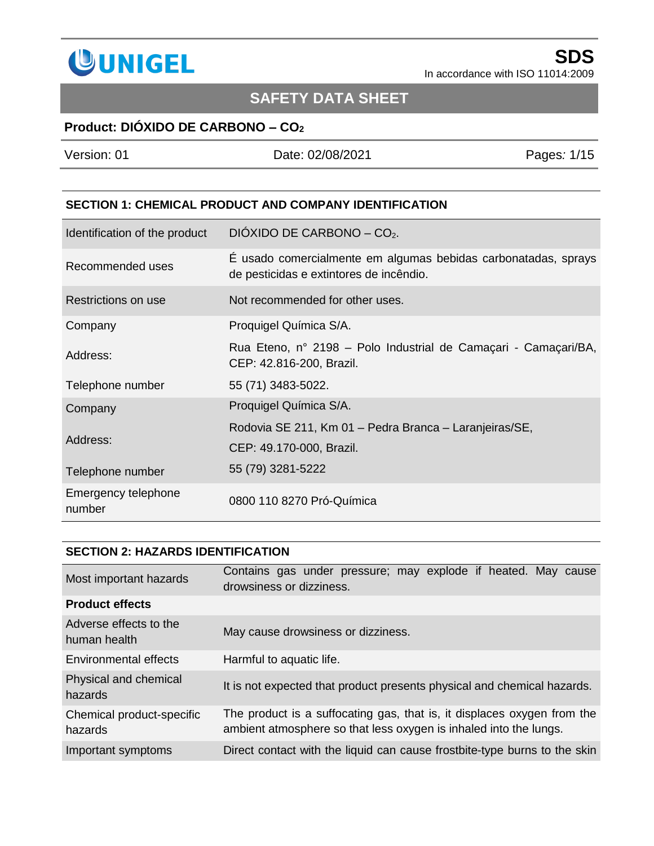

# **SAFETY DATA SHEET**

## **Product: DIÓXIDO DE CARBONO – CO<sup>2</sup>**

| Version: 01 | Date: 02/08/2021 | Pages: 1/15 |
|-------------|------------------|-------------|
|             |                  |             |
|             |                  |             |

#### **SECTION 1: CHEMICAL PRODUCT AND COMPANY IDENTIFICATION**

| Identification of the product | DIÓXIDO DE CARBONO - $CO2$ .                                                                              |
|-------------------------------|-----------------------------------------------------------------------------------------------------------|
| Recommended uses              | É usado comercialmente em algumas bebidas carbonatadas, sprays<br>de pesticidas e extintores de incêndio. |
| Restrictions on use           | Not recommended for other uses.                                                                           |
| Company                       | Proquigel Química S/A.                                                                                    |
| Address:                      | Rua Eteno, nº 2198 – Polo Industrial de Camaçari - Camaçari/BA,<br>CEP: 42.816-200, Brazil.               |
| Telephone number              | 55 (71) 3483-5022.                                                                                        |
| Company                       | Proquigel Química S/A.                                                                                    |
| Address:                      | Rodovia SE 211, Km 01 - Pedra Branca - Laranjeiras/SE,<br>CEP: 49.170-000, Brazil.                        |
| Telephone number              | 55 (79) 3281-5222                                                                                         |
| Emergency telephone<br>number | 0800 110 8270 Pró-Química                                                                                 |

#### **SECTION 2: HAZARDS IDENTIFICATION**

| Most important hazards                 | Contains gas under pressure; may explode if heated. May cause<br>drowsiness or dizziness.                                                    |
|----------------------------------------|----------------------------------------------------------------------------------------------------------------------------------------------|
| <b>Product effects</b>                 |                                                                                                                                              |
| Adverse effects to the<br>human health | May cause drowsiness or dizziness.                                                                                                           |
| Environmental effects                  | Harmful to aquatic life.                                                                                                                     |
| Physical and chemical<br>hazards       | It is not expected that product presents physical and chemical hazards.                                                                      |
| Chemical product-specific<br>hazards   | The product is a suffocating gas, that is, it displaces oxygen from the<br>ambient atmosphere so that less oxygen is inhaled into the lungs. |
| Important symptoms                     | Direct contact with the liquid can cause frostbite-type burns to the skin                                                                    |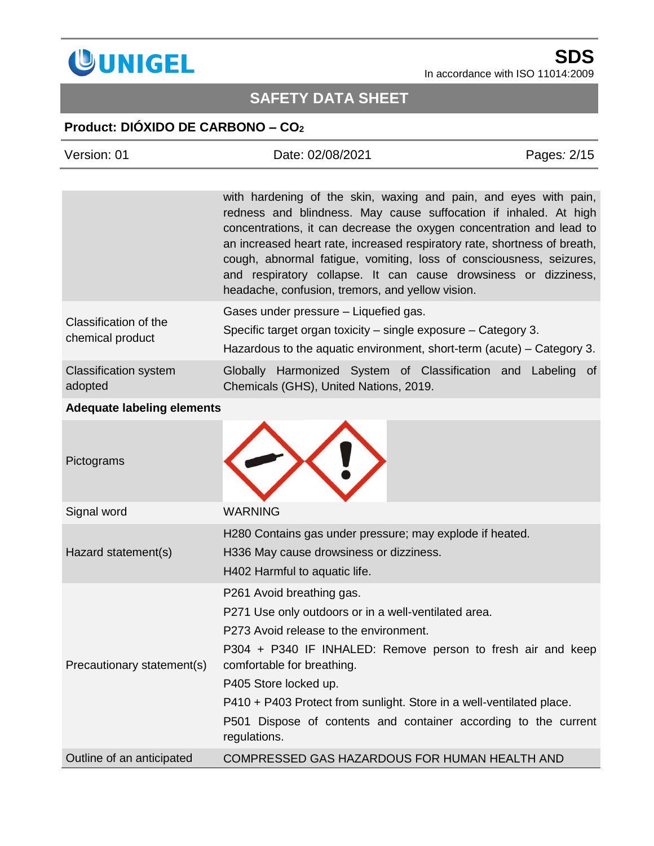

# **SAFETY DATA SHEET**

# **Product: DIÓXIDO DE CARBONO – CO<sup>2</sup>**

| Version: 01                             | Date: 02/08/2021                                                                                                                                                                                                                                                                                                                                                                                                                                                                        | Pages: 2/15 |
|-----------------------------------------|-----------------------------------------------------------------------------------------------------------------------------------------------------------------------------------------------------------------------------------------------------------------------------------------------------------------------------------------------------------------------------------------------------------------------------------------------------------------------------------------|-------------|
|                                         |                                                                                                                                                                                                                                                                                                                                                                                                                                                                                         |             |
|                                         | with hardening of the skin, waxing and pain, and eyes with pain,<br>redness and blindness. May cause suffocation if inhaled. At high<br>concentrations, it can decrease the oxygen concentration and lead to<br>an increased heart rate, increased respiratory rate, shortness of breath,<br>cough, abnormal fatigue, vomiting, loss of consciousness, seizures,<br>and respiratory collapse. It can cause drowsiness or dizziness,<br>headache, confusion, tremors, and yellow vision. |             |
| Classification of the                   | Gases under pressure - Liquefied gas.                                                                                                                                                                                                                                                                                                                                                                                                                                                   |             |
| chemical product                        | Specific target organ toxicity – single exposure – Category 3.<br>Hazardous to the aquatic environment, short-term (acute) – Category 3.                                                                                                                                                                                                                                                                                                                                                |             |
| <b>Classification system</b><br>adopted | Globally Harmonized System of Classification and Labeling of<br>Chemicals (GHS), United Nations, 2019.                                                                                                                                                                                                                                                                                                                                                                                  |             |
| <b>Adequate labeling elements</b>       |                                                                                                                                                                                                                                                                                                                                                                                                                                                                                         |             |
| Pictograms                              |                                                                                                                                                                                                                                                                                                                                                                                                                                                                                         |             |
| Signal word                             | <b>WARNING</b>                                                                                                                                                                                                                                                                                                                                                                                                                                                                          |             |
| Hazard statement(s)                     | H280 Contains gas under pressure; may explode if heated.<br>H336 May cause drowsiness or dizziness.<br>H402 Harmful to aquatic life.                                                                                                                                                                                                                                                                                                                                                    |             |
| Precautionary statement(s)              | P261 Avoid breathing gas.                                                                                                                                                                                                                                                                                                                                                                                                                                                               |             |
|                                         | P271 Use only outdoors or in a well-ventilated area.                                                                                                                                                                                                                                                                                                                                                                                                                                    |             |
|                                         | P273 Avoid release to the environment.<br>P304 + P340 IF INHALED: Remove person to fresh air and keep<br>comfortable for breathing.                                                                                                                                                                                                                                                                                                                                                     |             |
|                                         | P405 Store locked up.                                                                                                                                                                                                                                                                                                                                                                                                                                                                   |             |
|                                         | P410 + P403 Protect from sunlight. Store in a well-ventilated place.                                                                                                                                                                                                                                                                                                                                                                                                                    |             |
|                                         | P501 Dispose of contents and container according to the current<br>regulations.                                                                                                                                                                                                                                                                                                                                                                                                         |             |
| Outline of an anticipated               | COMPRESSED GAS HAZARDOUS FOR HUMAN HEALTH AND                                                                                                                                                                                                                                                                                                                                                                                                                                           |             |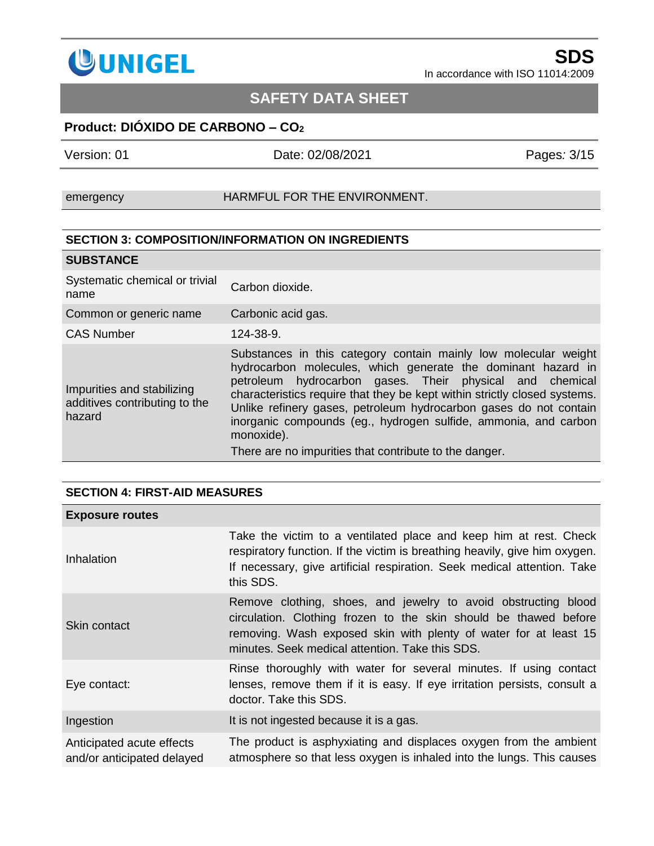

# **SAFETY DATA SHEET**

## **Product: DIÓXIDO DE CARBONO – CO<sup>2</sup>**

Version: 01 Date: 02/08/2021 Pages*:* 3/15

emergency **HARMFUL FOR THE ENVIRONMENT.** 

#### **SECTION 3: COMPOSITION/INFORMATION ON INGREDIENTS**

| <b>SUBSTANCE</b>                                                      |                                                                                                                                                                                                                                                                                                                                                                                                                                                                                          |
|-----------------------------------------------------------------------|------------------------------------------------------------------------------------------------------------------------------------------------------------------------------------------------------------------------------------------------------------------------------------------------------------------------------------------------------------------------------------------------------------------------------------------------------------------------------------------|
| Systematic chemical or trivial<br>name                                | Carbon dioxide.                                                                                                                                                                                                                                                                                                                                                                                                                                                                          |
| Common or generic name                                                | Carbonic acid gas.                                                                                                                                                                                                                                                                                                                                                                                                                                                                       |
| <b>CAS Number</b>                                                     | 124-38-9.                                                                                                                                                                                                                                                                                                                                                                                                                                                                                |
| Impurities and stabilizing<br>additives contributing to the<br>hazard | Substances in this category contain mainly low molecular weight<br>hydrocarbon molecules, which generate the dominant hazard in<br>petroleum hydrocarbon gases. Their physical and chemical<br>characteristics require that they be kept within strictly closed systems.<br>Unlike refinery gases, petroleum hydrocarbon gases do not contain<br>inorganic compounds (eg., hydrogen sulfide, ammonia, and carbon<br>monoxide).<br>There are no impurities that contribute to the danger. |

### **SECTION 4: FIRST-AID MEASURES**

| <b>Exposure routes</b>                                  |                                                                                                                                                                                                                                                           |
|---------------------------------------------------------|-----------------------------------------------------------------------------------------------------------------------------------------------------------------------------------------------------------------------------------------------------------|
| Inhalation                                              | Take the victim to a ventilated place and keep him at rest. Check<br>respiratory function. If the victim is breathing heavily, give him oxygen.<br>If necessary, give artificial respiration. Seek medical attention. Take<br>this SDS.                   |
| Skin contact                                            | Remove clothing, shoes, and jewelry to avoid obstructing blood<br>circulation. Clothing frozen to the skin should be thawed before<br>removing. Wash exposed skin with plenty of water for at least 15<br>minutes. Seek medical attention. Take this SDS. |
| Eye contact:                                            | Rinse thoroughly with water for several minutes. If using contact<br>lenses, remove them if it is easy. If eye irritation persists, consult a<br>doctor. Take this SDS.                                                                                   |
| Ingestion                                               | It is not ingested because it is a gas.                                                                                                                                                                                                                   |
| Anticipated acute effects<br>and/or anticipated delayed | The product is asphyxiating and displaces oxygen from the ambient<br>atmosphere so that less oxygen is inhaled into the lungs. This causes                                                                                                                |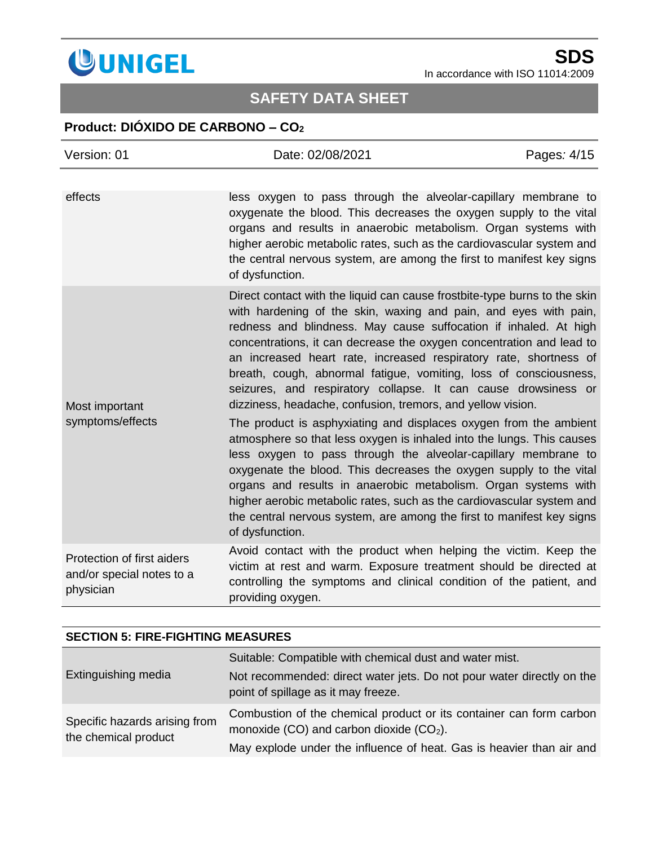

# **SAFETY DATA SHEET**

## **Product: DIÓXIDO DE CARBONO – CO<sup>2</sup>**

| Version: 01                                                          | Date: 02/08/2021                                                                                                                                                                                                                                                                                                                                                                                                                                                                                                                                                     | Pages: 4/15 |
|----------------------------------------------------------------------|----------------------------------------------------------------------------------------------------------------------------------------------------------------------------------------------------------------------------------------------------------------------------------------------------------------------------------------------------------------------------------------------------------------------------------------------------------------------------------------------------------------------------------------------------------------------|-------------|
| effects                                                              | less oxygen to pass through the alveolar-capillary membrane to                                                                                                                                                                                                                                                                                                                                                                                                                                                                                                       |             |
|                                                                      | oxygenate the blood. This decreases the oxygen supply to the vital<br>organs and results in anaerobic metabolism. Organ systems with<br>higher aerobic metabolic rates, such as the cardiovascular system and<br>the central nervous system, are among the first to manifest key signs<br>of dysfunction.                                                                                                                                                                                                                                                            |             |
| Most important<br>symptoms/effects                                   | Direct contact with the liquid can cause frostbite-type burns to the skin<br>with hardening of the skin, waxing and pain, and eyes with pain,<br>redness and blindness. May cause suffocation if inhaled. At high<br>concentrations, it can decrease the oxygen concentration and lead to<br>an increased heart rate, increased respiratory rate, shortness of<br>breath, cough, abnormal fatigue, vomiting, loss of consciousness,<br>seizures, and respiratory collapse. It can cause drowsiness or<br>dizziness, headache, confusion, tremors, and yellow vision. |             |
|                                                                      | The product is asphyxiating and displaces oxygen from the ambient<br>atmosphere so that less oxygen is inhaled into the lungs. This causes<br>less oxygen to pass through the alveolar-capillary membrane to<br>oxygenate the blood. This decreases the oxygen supply to the vital<br>organs and results in anaerobic metabolism. Organ systems with<br>higher aerobic metabolic rates, such as the cardiovascular system and<br>the central nervous system, are among the first to manifest key signs<br>of dysfunction.                                            |             |
| Protection of first aiders<br>and/or special notes to a<br>physician | Avoid contact with the product when helping the victim. Keep the<br>victim at rest and warm. Exposure treatment should be directed at<br>controlling the symptoms and clinical condition of the patient, and<br>providing oxygen.                                                                                                                                                                                                                                                                                                                                    |             |

### **SECTION 5: FIRE-FIGHTING MEASURES**

|                                                       | Suitable: Compatible with chemical dust and water mist.                                                           |
|-------------------------------------------------------|-------------------------------------------------------------------------------------------------------------------|
| Extinguishing media                                   | Not recommended: direct water jets. Do not pour water directly on the<br>point of spillage as it may freeze.      |
| Specific hazards arising from<br>the chemical product | Combustion of the chemical product or its container can form carbon<br>monoxide (CO) and carbon dioxide $(CO2)$ . |
|                                                       | May explode under the influence of heat. Gas is heavier than air and                                              |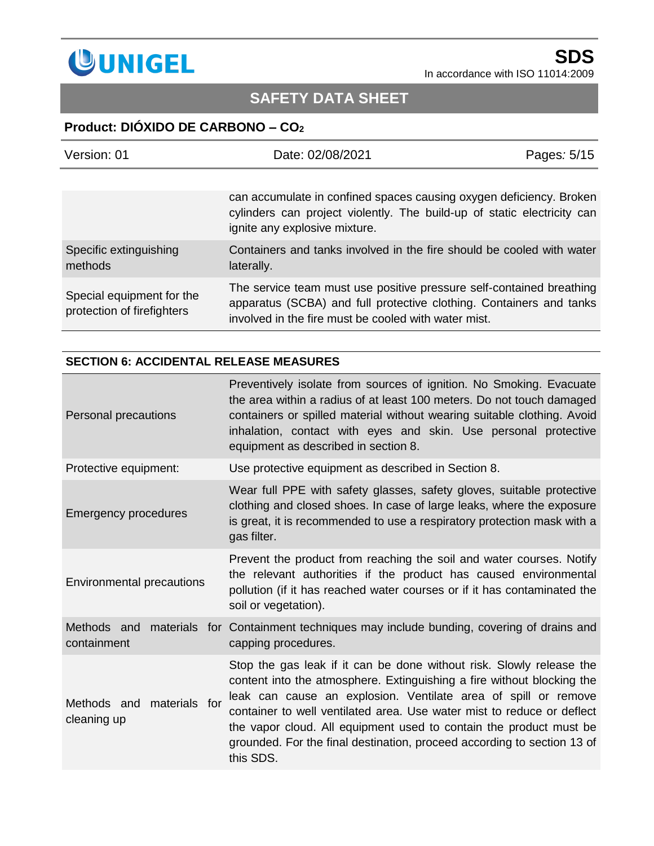

# **SAFETY DATA SHEET**

## **Product: DIÓXIDO DE CARBONO – CO<sup>2</sup>**

| Version: 01                                             | Date: 02/08/2021                                                                                                                                                                                    | Pages: 5/15 |
|---------------------------------------------------------|-----------------------------------------------------------------------------------------------------------------------------------------------------------------------------------------------------|-------------|
|                                                         |                                                                                                                                                                                                     |             |
|                                                         | can accumulate in confined spaces causing oxygen deficiency. Broken<br>cylinders can project violently. The build-up of static electricity can<br>ignite any explosive mixture.                     |             |
| Specific extinguishing<br>methods                       | Containers and tanks involved in the fire should be cooled with water<br>laterally.                                                                                                                 |             |
| Special equipment for the<br>protection of firefighters | The service team must use positive pressure self-contained breathing<br>apparatus (SCBA) and full protective clothing. Containers and tanks<br>involved in the fire must be cooled with water mist. |             |

### **SECTION 6: ACCIDENTAL RELEASE MEASURES**

| Personal precautions                     | Preventively isolate from sources of ignition. No Smoking. Evacuate<br>the area within a radius of at least 100 meters. Do not touch damaged<br>containers or spilled material without wearing suitable clothing. Avoid<br>inhalation, contact with eyes and skin. Use personal protective<br>equipment as described in section 8.                                                                                                                       |
|------------------------------------------|----------------------------------------------------------------------------------------------------------------------------------------------------------------------------------------------------------------------------------------------------------------------------------------------------------------------------------------------------------------------------------------------------------------------------------------------------------|
| Protective equipment:                    | Use protective equipment as described in Section 8.                                                                                                                                                                                                                                                                                                                                                                                                      |
| <b>Emergency procedures</b>              | Wear full PPE with safety glasses, safety gloves, suitable protective<br>clothing and closed shoes. In case of large leaks, where the exposure<br>is great, it is recommended to use a respiratory protection mask with a<br>gas filter.                                                                                                                                                                                                                 |
| Environmental precautions                | Prevent the product from reaching the soil and water courses. Notify<br>the relevant authorities if the product has caused environmental<br>pollution (if it has reached water courses or if it has contaminated the<br>soil or vegetation).                                                                                                                                                                                                             |
| containment                              | Methods and materials for Containment techniques may include bunding, covering of drains and<br>capping procedures.                                                                                                                                                                                                                                                                                                                                      |
| Methods and materials for<br>cleaning up | Stop the gas leak if it can be done without risk. Slowly release the<br>content into the atmosphere. Extinguishing a fire without blocking the<br>leak can cause an explosion. Ventilate area of spill or remove<br>container to well ventilated area. Use water mist to reduce or deflect<br>the vapor cloud. All equipment used to contain the product must be<br>grounded. For the final destination, proceed according to section 13 of<br>this SDS. |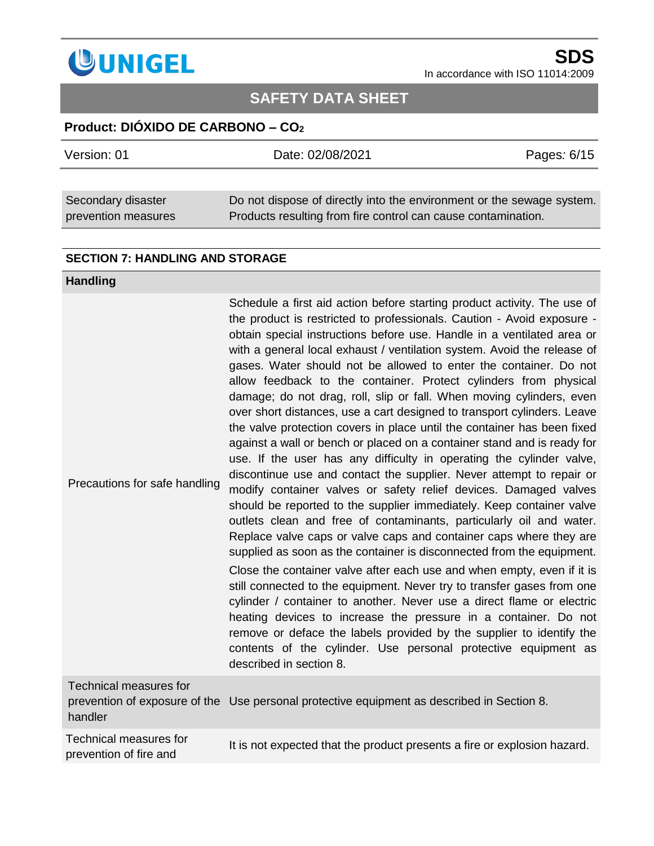

# **SAFETY DATA SHEET**

## **Product: DIÓXIDO DE CARBONO – CO<sup>2</sup>**

| Version: 01                               | Date: 02/08/2021                                                                                                                       | Pages: 6/15 |
|-------------------------------------------|----------------------------------------------------------------------------------------------------------------------------------------|-------------|
|                                           |                                                                                                                                        |             |
| Secondary disaster<br>prevention measures | Do not dispose of directly into the environment or the sewage system.<br>Products resulting from fire control can cause contamination. |             |

#### **SECTION 7: HANDLING AND STORAGE**

#### **Handling**

| Precautions for safe handling            | Schedule a first aid action before starting product activity. The use of<br>the product is restricted to professionals. Caution - Avoid exposure -<br>obtain special instructions before use. Handle in a ventilated area or<br>with a general local exhaust / ventilation system. Avoid the release of<br>gases. Water should not be allowed to enter the container. Do not<br>allow feedback to the container. Protect cylinders from physical<br>damage; do not drag, roll, slip or fall. When moving cylinders, even<br>over short distances, use a cart designed to transport cylinders. Leave<br>the valve protection covers in place until the container has been fixed<br>against a wall or bench or placed on a container stand and is ready for<br>use. If the user has any difficulty in operating the cylinder valve,<br>discontinue use and contact the supplier. Never attempt to repair or<br>modify container valves or safety relief devices. Damaged valves<br>should be reported to the supplier immediately. Keep container valve<br>outlets clean and free of contaminants, particularly oil and water.<br>Replace valve caps or valve caps and container caps where they are<br>supplied as soon as the container is disconnected from the equipment.<br>Close the container valve after each use and when empty, even if it is<br>still connected to the equipment. Never try to transfer gases from one<br>cylinder / container to another. Never use a direct flame or electric<br>heating devices to increase the pressure in a container. Do not<br>remove or deface the labels provided by the supplier to identify the<br>contents of the cylinder. Use personal protective equipment as<br>described in section 8. |
|------------------------------------------|--------------------------------------------------------------------------------------------------------------------------------------------------------------------------------------------------------------------------------------------------------------------------------------------------------------------------------------------------------------------------------------------------------------------------------------------------------------------------------------------------------------------------------------------------------------------------------------------------------------------------------------------------------------------------------------------------------------------------------------------------------------------------------------------------------------------------------------------------------------------------------------------------------------------------------------------------------------------------------------------------------------------------------------------------------------------------------------------------------------------------------------------------------------------------------------------------------------------------------------------------------------------------------------------------------------------------------------------------------------------------------------------------------------------------------------------------------------------------------------------------------------------------------------------------------------------------------------------------------------------------------------------------------------------------------------------------------------------------------------------------|
| <b>Technical measures for</b><br>handler | prevention of exposure of the Use personal protective equipment as described in Section 8.                                                                                                                                                                                                                                                                                                                                                                                                                                                                                                                                                                                                                                                                                                                                                                                                                                                                                                                                                                                                                                                                                                                                                                                                                                                                                                                                                                                                                                                                                                                                                                                                                                                       |
|                                          |                                                                                                                                                                                                                                                                                                                                                                                                                                                                                                                                                                                                                                                                                                                                                                                                                                                                                                                                                                                                                                                                                                                                                                                                                                                                                                                                                                                                                                                                                                                                                                                                                                                                                                                                                  |

| Technical measures for | It is not expected that the product presents a fire or explosion hazard. |
|------------------------|--------------------------------------------------------------------------|
| prevention of fire and |                                                                          |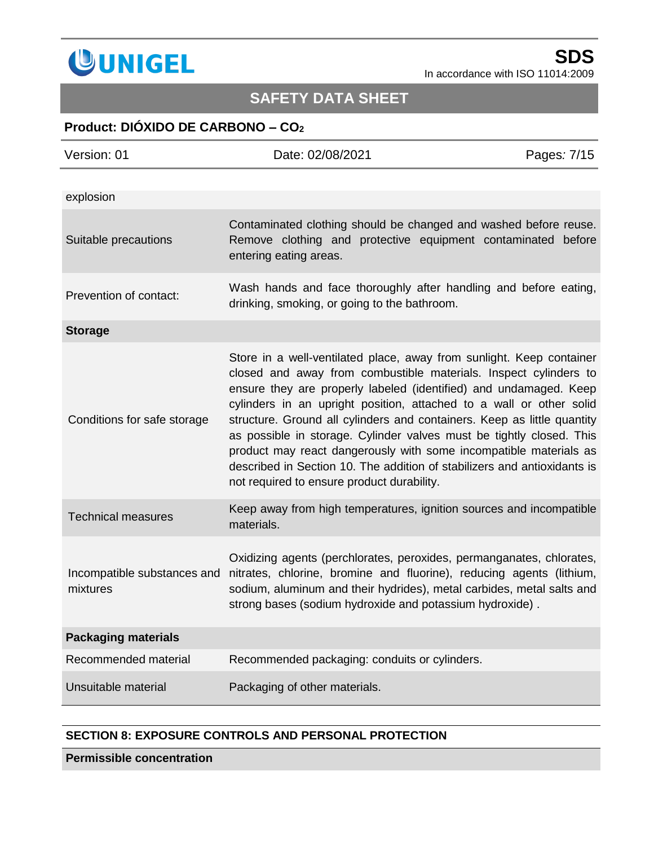

# **SAFETY DATA SHEET**

## **Product: DIÓXIDO DE CARBONO – CO<sup>2</sup>**

| Version: 01                             | Date: 02/08/2021                                                                                                                                                                                                                                                                                                                                                                                                                                                                                                                                                                                                                       | Pages: 7/15 |
|-----------------------------------------|----------------------------------------------------------------------------------------------------------------------------------------------------------------------------------------------------------------------------------------------------------------------------------------------------------------------------------------------------------------------------------------------------------------------------------------------------------------------------------------------------------------------------------------------------------------------------------------------------------------------------------------|-------------|
| explosion                               |                                                                                                                                                                                                                                                                                                                                                                                                                                                                                                                                                                                                                                        |             |
| Suitable precautions                    | Contaminated clothing should be changed and washed before reuse.<br>Remove clothing and protective equipment contaminated before<br>entering eating areas.                                                                                                                                                                                                                                                                                                                                                                                                                                                                             |             |
| Prevention of contact:                  | Wash hands and face thoroughly after handling and before eating,<br>drinking, smoking, or going to the bathroom.                                                                                                                                                                                                                                                                                                                                                                                                                                                                                                                       |             |
| <b>Storage</b>                          |                                                                                                                                                                                                                                                                                                                                                                                                                                                                                                                                                                                                                                        |             |
| Conditions for safe storage             | Store in a well-ventilated place, away from sunlight. Keep container<br>closed and away from combustible materials. Inspect cylinders to<br>ensure they are properly labeled (identified) and undamaged. Keep<br>cylinders in an upright position, attached to a wall or other solid<br>structure. Ground all cylinders and containers. Keep as little quantity<br>as possible in storage. Cylinder valves must be tightly closed. This<br>product may react dangerously with some incompatible materials as<br>described in Section 10. The addition of stabilizers and antioxidants is<br>not required to ensure product durability. |             |
| <b>Technical measures</b>               | Keep away from high temperatures, ignition sources and incompatible<br>materials.                                                                                                                                                                                                                                                                                                                                                                                                                                                                                                                                                      |             |
| Incompatible substances and<br>mixtures | Oxidizing agents (perchlorates, peroxides, permanganates, chlorates,<br>nitrates, chlorine, bromine and fluorine), reducing agents (lithium,<br>sodium, aluminum and their hydrides), metal carbides, metal salts and<br>strong bases (sodium hydroxide and potassium hydroxide).                                                                                                                                                                                                                                                                                                                                                      |             |
| <b>Packaging materials</b>              |                                                                                                                                                                                                                                                                                                                                                                                                                                                                                                                                                                                                                                        |             |
| Recommended material                    | Recommended packaging: conduits or cylinders.                                                                                                                                                                                                                                                                                                                                                                                                                                                                                                                                                                                          |             |
| Unsuitable material                     | Packaging of other materials.                                                                                                                                                                                                                                                                                                                                                                                                                                                                                                                                                                                                          |             |

#### **SECTION 8: EXPOSURE CONTROLS AND PERSONAL PROTECTION**

**Permissible concentration**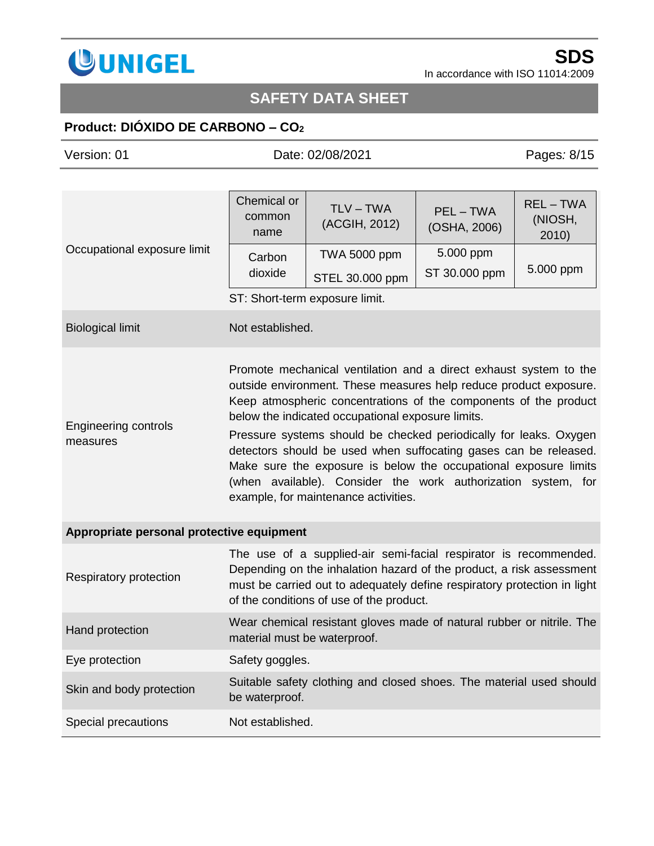

# **SAFETY DATA SHEET**

# **Product: DIÓXIDO DE CARBONO – CO<sup>2</sup>**

| Version: 01                               | Date: 02/08/2021                                                                                                                                                                                                                                                                                                                                                                                                                                                                                                                                                                      |                                | Pages: 8/15             |                                |
|-------------------------------------------|---------------------------------------------------------------------------------------------------------------------------------------------------------------------------------------------------------------------------------------------------------------------------------------------------------------------------------------------------------------------------------------------------------------------------------------------------------------------------------------------------------------------------------------------------------------------------------------|--------------------------------|-------------------------|--------------------------------|
|                                           |                                                                                                                                                                                                                                                                                                                                                                                                                                                                                                                                                                                       |                                |                         |                                |
| Occupational exposure limit               | Chemical or<br>common<br>name                                                                                                                                                                                                                                                                                                                                                                                                                                                                                                                                                         | TLV – TWA<br>(ACGIH, 2012)     | PEL-TWA<br>(OSHA, 2006) | $REL - TWA$<br>(NIOSH,<br>2010 |
|                                           | Carbon                                                                                                                                                                                                                                                                                                                                                                                                                                                                                                                                                                                | <b>TWA 5000 ppm</b>            | 5.000 ppm               |                                |
|                                           | dioxide                                                                                                                                                                                                                                                                                                                                                                                                                                                                                                                                                                               | STEL 30.000 ppm                | ST 30.000 ppm           | 5.000 ppm                      |
|                                           |                                                                                                                                                                                                                                                                                                                                                                                                                                                                                                                                                                                       | ST: Short-term exposure limit. |                         |                                |
| <b>Biological limit</b>                   | Not established.                                                                                                                                                                                                                                                                                                                                                                                                                                                                                                                                                                      |                                |                         |                                |
| <b>Engineering controls</b><br>measures   | Promote mechanical ventilation and a direct exhaust system to the<br>outside environment. These measures help reduce product exposure.<br>Keep atmospheric concentrations of the components of the product<br>below the indicated occupational exposure limits.<br>Pressure systems should be checked periodically for leaks. Oxygen<br>detectors should be used when suffocating gases can be released.<br>Make sure the exposure is below the occupational exposure limits<br>(when available). Consider the work authorization system, for<br>example, for maintenance activities. |                                |                         |                                |
| Appropriate personal protective equipment |                                                                                                                                                                                                                                                                                                                                                                                                                                                                                                                                                                                       |                                |                         |                                |
| Respiratory protection                    | The use of a supplied-air semi-facial respirator is recommended.<br>Depending on the inhalation hazard of the product, a risk assessment<br>must be carried out to adequately define respiratory protection in light<br>of the conditions of use of the product.                                                                                                                                                                                                                                                                                                                      |                                |                         |                                |
| Hand protection                           | Wear chemical resistant gloves made of natural rubber or nitrile. The<br>material must be waterproof.                                                                                                                                                                                                                                                                                                                                                                                                                                                                                 |                                |                         |                                |
| Eye protection                            | Safety goggles.                                                                                                                                                                                                                                                                                                                                                                                                                                                                                                                                                                       |                                |                         |                                |
| Skin and body protection                  | Suitable safety clothing and closed shoes. The material used should<br>be waterproof.                                                                                                                                                                                                                                                                                                                                                                                                                                                                                                 |                                |                         |                                |
| Special precautions                       | Not established.                                                                                                                                                                                                                                                                                                                                                                                                                                                                                                                                                                      |                                |                         |                                |
|                                           |                                                                                                                                                                                                                                                                                                                                                                                                                                                                                                                                                                                       |                                |                         |                                |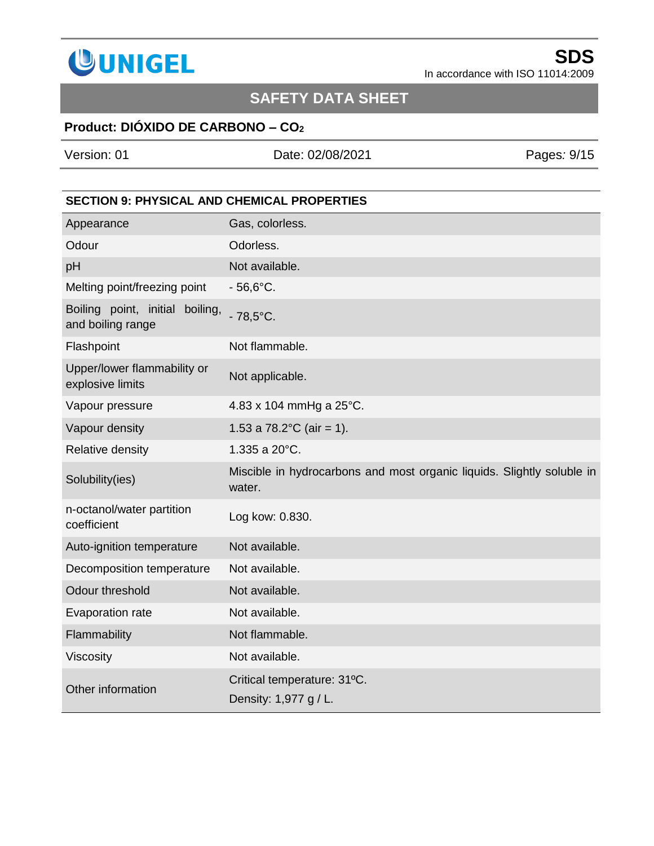

# **SAFETY DATA SHEET**

## **Product: DIÓXIDO DE CARBONO – CO<sup>2</sup>**

Version: 01 Date: 02/08/2021 Pages*:* 9/15

### **SECTION 9: PHYSICAL AND CHEMICAL PROPERTIES**

| Appearance                                           | Gas, colorless.                                                                  |
|------------------------------------------------------|----------------------------------------------------------------------------------|
| Odour                                                | Odorless.                                                                        |
| pH                                                   | Not available.                                                                   |
| Melting point/freezing point                         | $-56,6^{\circ}$ C.                                                               |
| Boiling point, initial boiling,<br>and boiling range | $-78,5^{\circ}$ C.                                                               |
| Flashpoint                                           | Not flammable.                                                                   |
| Upper/lower flammability or<br>explosive limits      | Not applicable.                                                                  |
| Vapour pressure                                      | 4.83 x 104 mmHg a 25°C.                                                          |
| Vapour density                                       | 1.53 a $78.2^{\circ}$ C (air = 1).                                               |
| Relative density                                     | 1.335 a 20°C.                                                                    |
| Solubility(ies)                                      | Miscible in hydrocarbons and most organic liquids. Slightly soluble in<br>water. |
| n-octanol/water partition<br>coefficient             | Log kow: 0.830.                                                                  |
| Auto-ignition temperature                            | Not available.                                                                   |
| Decomposition temperature                            | Not available.                                                                   |
| Odour threshold                                      | Not available.                                                                   |
| Evaporation rate                                     | Not available.                                                                   |
| Flammability                                         | Not flammable.                                                                   |
| Viscosity                                            | Not available.                                                                   |
| Other information                                    | Critical temperature: 31°C.<br>Density: 1,977 g / L.                             |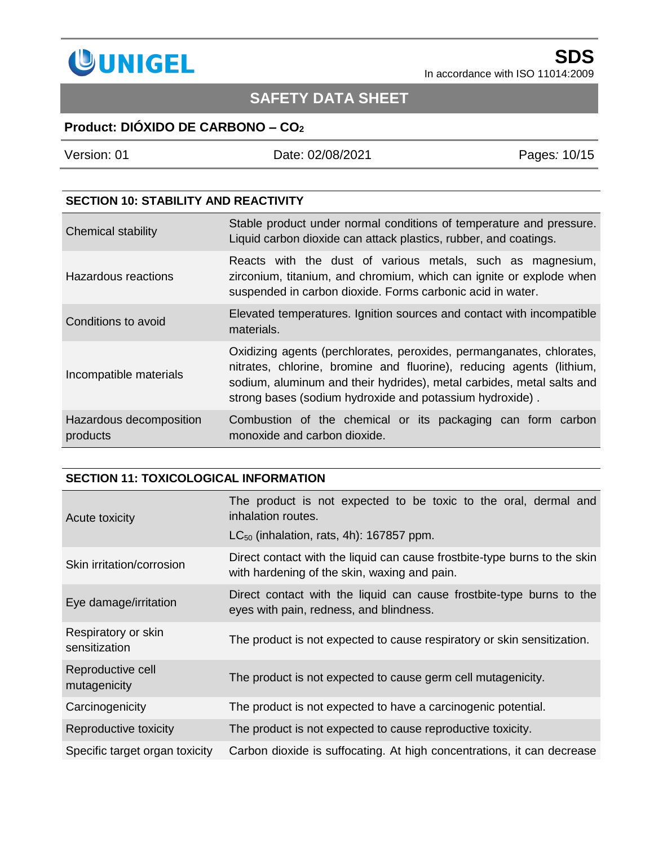

# **SAFETY DATA SHEET**

## **Product: DIÓXIDO DE CARBONO – CO<sup>2</sup>**

| Version: 01 |  |
|-------------|--|
|             |  |

Version: 01 Date: 02/08/2021 Pages*:* 10/15

### **SECTION 10: STABILITY AND REACTIVITY**

| <b>Chemical stability</b>           | Stable product under normal conditions of temperature and pressure.<br>Liquid carbon dioxide can attack plastics, rubber, and coatings.                                                                                                                                           |  |  |
|-------------------------------------|-----------------------------------------------------------------------------------------------------------------------------------------------------------------------------------------------------------------------------------------------------------------------------------|--|--|
| Hazardous reactions                 | Reacts with the dust of various metals, such as magnesium,<br>zirconium, titanium, and chromium, which can ignite or explode when<br>suspended in carbon dioxide. Forms carbonic acid in water.                                                                                   |  |  |
| Conditions to avoid                 | Elevated temperatures. Ignition sources and contact with incompatible<br>materials.                                                                                                                                                                                               |  |  |
| Incompatible materials              | Oxidizing agents (perchlorates, peroxides, permanganates, chlorates,<br>nitrates, chlorine, bromine and fluorine), reducing agents (lithium,<br>sodium, aluminum and their hydrides), metal carbides, metal salts and<br>strong bases (sodium hydroxide and potassium hydroxide). |  |  |
| Hazardous decomposition<br>products | Combustion of the chemical or its packaging can form carbon<br>monoxide and carbon dioxide.                                                                                                                                                                                       |  |  |

### **SECTION 11: TOXICOLOGICAL INFORMATION**

| Acute toxicity                       | The product is not expected to be toxic to the oral, dermal and<br>inhalation routes.<br>$LC_{50}$ (inhalation, rats, 4h): 167857 ppm. |
|--------------------------------------|----------------------------------------------------------------------------------------------------------------------------------------|
| Skin irritation/corrosion            | Direct contact with the liquid can cause frostbite-type burns to the skin<br>with hardening of the skin, waxing and pain.              |
| Eye damage/irritation                | Direct contact with the liquid can cause frostbite-type burns to the<br>eyes with pain, redness, and blindness.                        |
| Respiratory or skin<br>sensitization | The product is not expected to cause respiratory or skin sensitization.                                                                |
| Reproductive cell<br>mutagenicity    | The product is not expected to cause germ cell mutagenicity.                                                                           |
| Carcinogenicity                      | The product is not expected to have a carcinogenic potential.                                                                          |
| Reproductive toxicity                | The product is not expected to cause reproductive toxicity.                                                                            |
| Specific target organ toxicity       | Carbon dioxide is suffocating. At high concentrations, it can decrease                                                                 |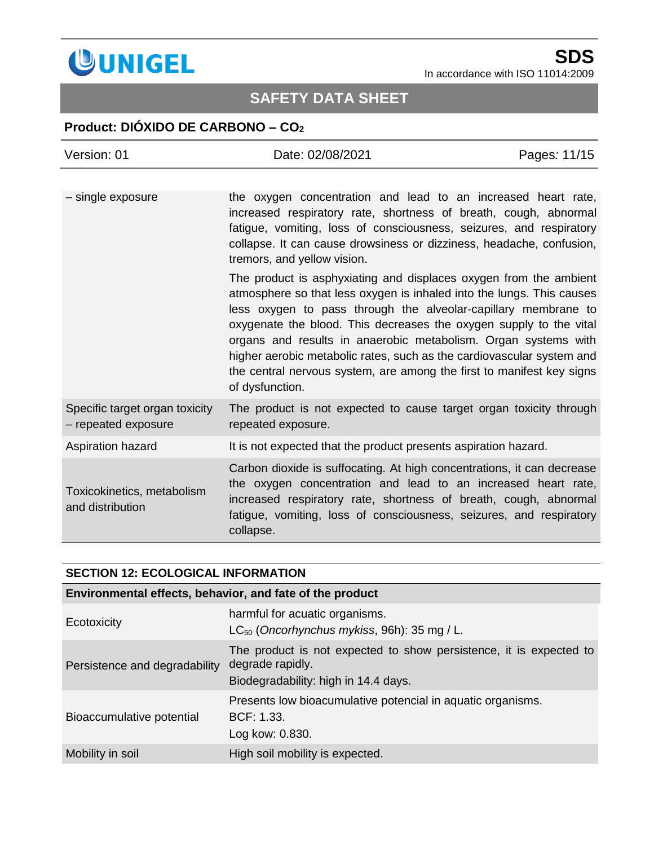

# **SAFETY DATA SHEET**

## **Product: DIÓXIDO DE CARBONO – CO<sup>2</sup>**

| Version: 01                                           | Date: 02/08/2021                                                                                                                                                                                                                                                                                                                                                                                                                                                                                                          | Pages: 11/15 |
|-------------------------------------------------------|---------------------------------------------------------------------------------------------------------------------------------------------------------------------------------------------------------------------------------------------------------------------------------------------------------------------------------------------------------------------------------------------------------------------------------------------------------------------------------------------------------------------------|--------------|
|                                                       |                                                                                                                                                                                                                                                                                                                                                                                                                                                                                                                           |              |
| - single exposure                                     | the oxygen concentration and lead to an increased heart rate,<br>increased respiratory rate, shortness of breath, cough, abnormal<br>fatigue, vomiting, loss of consciousness, seizures, and respiratory<br>collapse. It can cause drowsiness or dizziness, headache, confusion,<br>tremors, and yellow vision.                                                                                                                                                                                                           |              |
|                                                       | The product is asphyxiating and displaces oxygen from the ambient<br>atmosphere so that less oxygen is inhaled into the lungs. This causes<br>less oxygen to pass through the alveolar-capillary membrane to<br>oxygenate the blood. This decreases the oxygen supply to the vital<br>organs and results in anaerobic metabolism. Organ systems with<br>higher aerobic metabolic rates, such as the cardiovascular system and<br>the central nervous system, are among the first to manifest key signs<br>of dysfunction. |              |
| Specific target organ toxicity<br>- repeated exposure | The product is not expected to cause target organ toxicity through<br>repeated exposure.                                                                                                                                                                                                                                                                                                                                                                                                                                  |              |
| Aspiration hazard                                     | It is not expected that the product presents aspiration hazard.                                                                                                                                                                                                                                                                                                                                                                                                                                                           |              |
| Toxicokinetics, metabolism<br>and distribution        | Carbon dioxide is suffocating. At high concentrations, it can decrease<br>the oxygen concentration and lead to an increased heart rate,<br>increased respiratory rate, shortness of breath, cough, abnormal<br>fatigue, vomiting, loss of consciousness, seizures, and respiratory<br>collapse.                                                                                                                                                                                                                           |              |

| <b>SECTION 12: ECOLOGICAL INFORMATION</b>                |                                                                                                                                |  |  |
|----------------------------------------------------------|--------------------------------------------------------------------------------------------------------------------------------|--|--|
| Environmental effects, behavior, and fate of the product |                                                                                                                                |  |  |
| Ecotoxicity                                              | harmful for acuatic organisms.<br>$LC_{50}$ (Oncorhynchus mykiss, 96h): 35 mg / L.                                             |  |  |
| Persistence and degradability                            | The product is not expected to show persistence, it is expected to<br>degrade rapidly.<br>Biodegradability: high in 14.4 days. |  |  |
| Bioaccumulative potential                                | Presents low bioacumulative potencial in aquatic organisms.<br>BCF: 1.33.<br>Log kow: 0.830.                                   |  |  |
| Mobility in soil                                         | High soil mobility is expected.                                                                                                |  |  |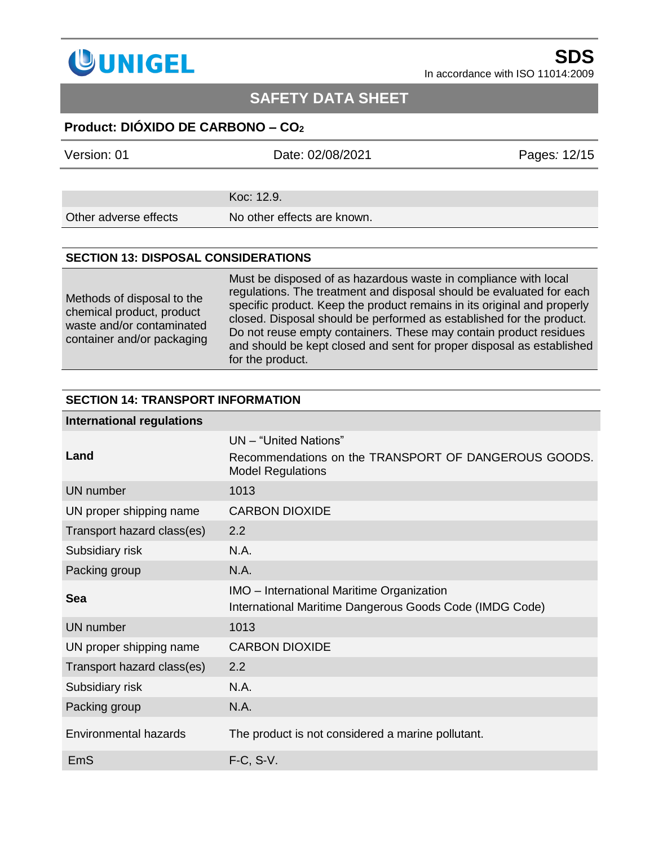

## **SAFETY DATA SHEET**

### **Product: DIÓXIDO DE CARBONO – CO<sup>2</sup>**

| Version: 01           | Date: 02/08/2021            | Pages: 12/15 |
|-----------------------|-----------------------------|--------------|
|                       |                             |              |
|                       | Koc: 12.9.                  |              |
| Other adverse effects | No other effects are known. |              |
|                       |                             |              |

#### **SECTION 13: DISPOSAL CONSIDERATIONS**

Methods of disposal to the chemical product, product waste and/or contaminated container and/or packaging Must be disposed of as hazardous waste in compliance with local regulations. The treatment and disposal should be evaluated for each specific product. Keep the product remains in its original and properly closed. Disposal should be performed as established for the product. Do not reuse empty containers. These may contain product residues and should be kept closed and sent for proper disposal as established for the product.

#### **SECTION 14: TRANSPORT INFORMATION**

## **International regulations Land** UN – "United Nations" Recommendations on the TRANSPORT OF DANGEROUS GOODS. Model Regulations UN number 1013 UN proper shipping name CARBON DIOXIDE Transport hazard class(es) 2.2 Subsidiary risk N.A. Packing group N.A. **Sea IMO** – International Maritime Organization International Maritime Dangerous Goods Code (IMDG Code) UN number 1013 UN proper shipping name CARBON DIOXIDE Transport hazard class(es) 2.2 Subsidiary risk N.A. Packing group N.A. Environmental hazards The product is not considered a marine pollutant. EmS F-C, S-V.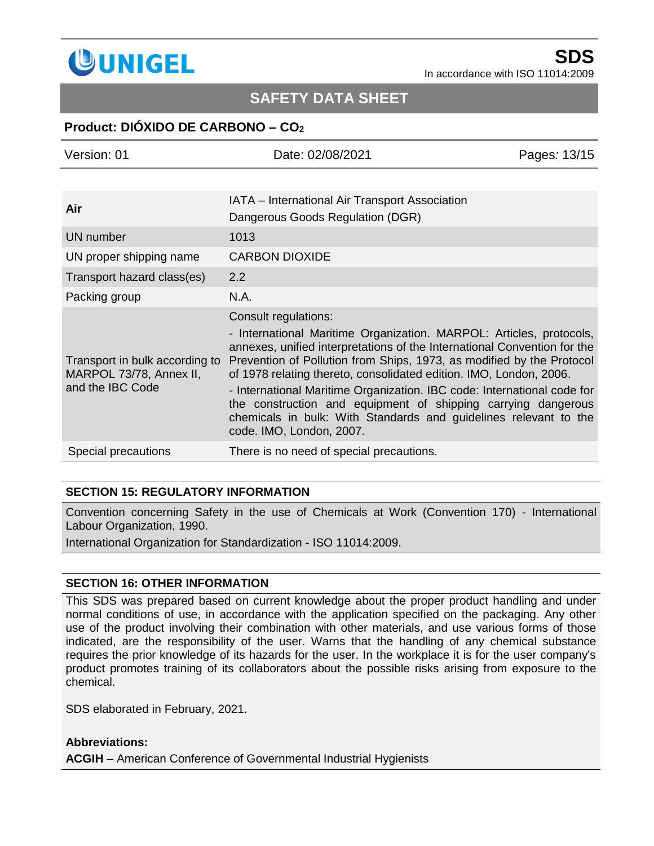

## **SAFETY DATA SHEET**

### **Product: DIÓXIDO DE CARBONO – CO<sup>2</sup>**

| Version: 01                                                                   | Date: 02/08/2021                                                                                                                                                                                                                                                                                                                                                                                                                                                                                                                                                   | Pages: 13/15 |
|-------------------------------------------------------------------------------|--------------------------------------------------------------------------------------------------------------------------------------------------------------------------------------------------------------------------------------------------------------------------------------------------------------------------------------------------------------------------------------------------------------------------------------------------------------------------------------------------------------------------------------------------------------------|--------------|
|                                                                               |                                                                                                                                                                                                                                                                                                                                                                                                                                                                                                                                                                    |              |
| Air                                                                           | IATA – International Air Transport Association<br>Dangerous Goods Regulation (DGR)                                                                                                                                                                                                                                                                                                                                                                                                                                                                                 |              |
| <b>UN</b> number                                                              | 1013                                                                                                                                                                                                                                                                                                                                                                                                                                                                                                                                                               |              |
| UN proper shipping name                                                       | <b>CARBON DIOXIDE</b>                                                                                                                                                                                                                                                                                                                                                                                                                                                                                                                                              |              |
| Transport hazard class(es)                                                    | 2.2                                                                                                                                                                                                                                                                                                                                                                                                                                                                                                                                                                |              |
| Packing group                                                                 | N.A.                                                                                                                                                                                                                                                                                                                                                                                                                                                                                                                                                               |              |
| Transport in bulk according to<br>MARPOL 73/78, Annex II,<br>and the IBC Code | Consult regulations:<br>- International Maritime Organization. MARPOL: Articles, protocols,<br>annexes, unified interpretations of the International Convention for the<br>Prevention of Pollution from Ships, 1973, as modified by the Protocol<br>of 1978 relating thereto, consolidated edition. IMO, London, 2006.<br>- International Maritime Organization. IBC code: International code for<br>the construction and equipment of shipping carrying dangerous<br>chemicals in bulk: With Standards and guidelines relevant to the<br>code. IMO, London, 2007. |              |
| Special precautions                                                           | There is no need of special precautions.                                                                                                                                                                                                                                                                                                                                                                                                                                                                                                                           |              |

#### **SECTION 15: REGULATORY INFORMATION**

Convention concerning Safety in the use of Chemicals at Work (Convention 170) - International Labour Organization, 1990.

International Organization for Standardization - ISO 11014:2009.

#### **SECTION 16: OTHER INFORMATION**

This SDS was prepared based on current knowledge about the proper product handling and under normal conditions of use, in accordance with the application specified on the packaging. Any other use of the product involving their combination with other materials, and use various forms of those indicated, are the responsibility of the user. Warns that the handling of any chemical substance requires the prior knowledge of its hazards for the user. In the workplace it is for the user company's product promotes training of its collaborators about the possible risks arising from exposure to the chemical.

SDS elaborated in February, 2021.

#### **Abbreviations:**

**ACGIH** – American Conference of Governmental Industrial Hygienists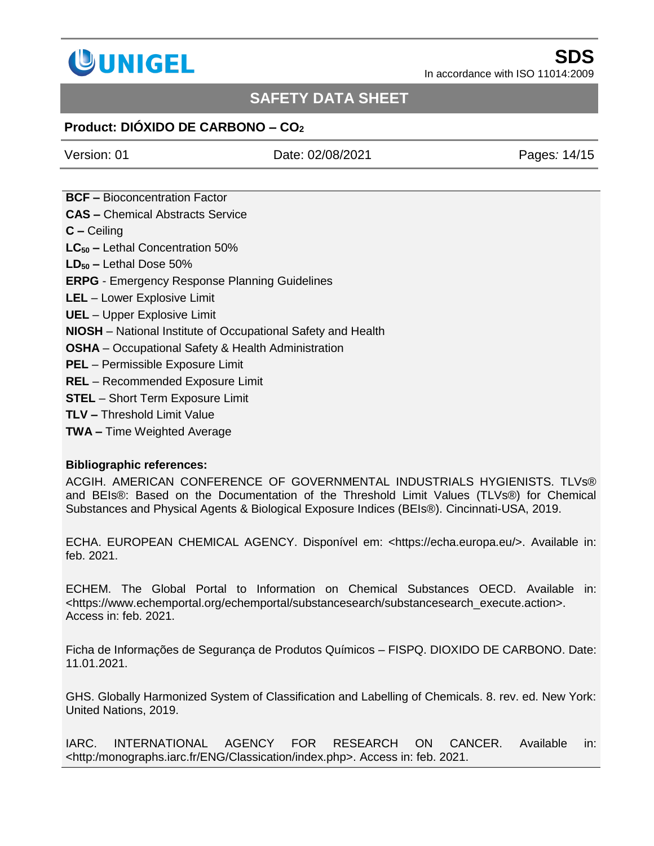

## **SAFETY DATA SHEET**

### **Product: DIÓXIDO DE CARBONO – CO<sup>2</sup>**

Version: 01 Date: 02/08/2021 Pages*:* 14/15

**BCF –** Bioconcentration Factor **CAS –** Chemical Abstracts Service **C –** Ceiling **LC<sup>50</sup> –** Lethal Concentration 50% **LD<sup>50</sup> –** Lethal Dose 50% **ERPG** - Emergency Response Planning Guidelines **LEL** – Lower Explosive Limit **UEL** – Upper Explosive Limit **NIOSH** – [National Institute of Occupational Safety and Health](http://www.niosh.com.my/) **OSHA** – Occupational Safety & Health Administration **PEL** – Permissible Exposure Limit

- **REL** Recommended Exposure Limit
- **STEL**  Short Term Exposure Limit
- **TLV –** Threshold Limit Value
- **TWA –** Time Weighted Average

#### **Bibliographic references:**

ACGIH. AMERICAN CONFERENCE OF GOVERNMENTAL INDUSTRIALS HYGIENISTS. TLVs® and BEIs®: Based on the Documentation of the Threshold Limit Values (TLVs®) for Chemical Substances and Physical Agents & Biological Exposure Indices (BEIs®). Cincinnati-USA, 2019.

ECHA. EUROPEAN CHEMICAL AGENCY. Disponível em: <https://echa.europa.eu/>. Available in: feb. 2021.

ECHEM. The Global Portal to Information on Chemical Substances OECD. Available in: <https://www.echemportal.org/echemportal/substancesearch/substancesearch\_execute.action>. Access in: feb. 2021.

Ficha de Informações de Segurança de Produtos Químicos – FISPQ. DIOXIDO DE CARBONO. Date: 11.01.2021.

GHS. Globally Harmonized System of Classification and Labelling of Chemicals. 8. rev. ed. New York: United Nations, 2019.

IARC. INTERNATIONAL AGENCY FOR RESEARCH ON CANCER. Available in: <http:/monographs.iarc.fr/ENG/Classication/index.php>. Access in: feb. 2021.